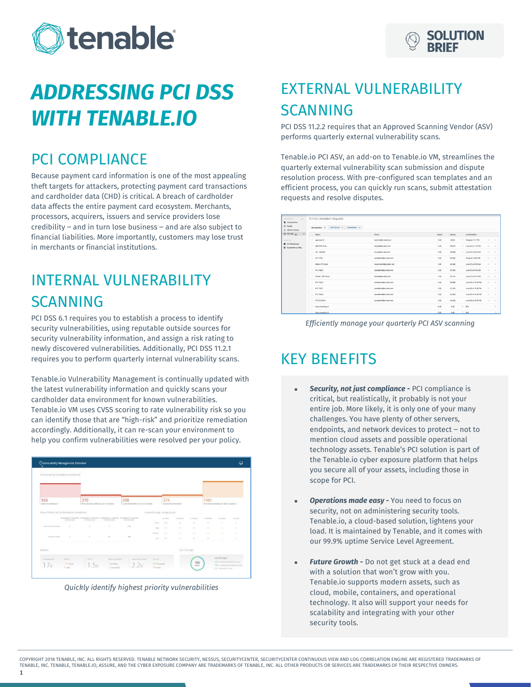



# *ADDRESSING PCI DSS WITH TENABLE.IO*

#### PCI COMPLIANCE

Because payment card information is one of the most appealing theft targets for attackers, protecting payment card transactions and cardholder data (CHD) is critical. A breach of cardholder data affects the entire payment card ecosystem. Merchants, processors, acquirers, issuers and service providers lose  $c$ redibility – and in turn lose business – and are also subject to financial liabilities. More importantly, customers may lose trust in merchants or financial institutions.

## INTERNAL VULNERABILITY SCANNING

PCI DSS 6.1 requires you to establish a process to identify security vulnerabilities, using reputable outside sources for security vulnerability information, and assign a risk rating to newly discovered vulnerabilities. Additionally, PCI DSS 11.2.1 requires you to perform quarterly internal vulnerability scans.

Tenable.io Vulnerability Management is continually updated with the latest vulnerability information and quickly scans your cardholder data environment for known vulnerabilities. Tenable.io VM uses CVSS scoring to rate vulnerability risk so you can identify those that are "high-risk" and prioritize remediation accordingly. Additionally, it can re-scan your environment to help you confirm vulnerabilities were resolved per your policy.





# EXTERNAL VULNERABILITY SCANNING

PCI DSS 11.2.2 requires that an Approved Scanning Vendor (ASV) performs quarterly external vulnerability scans.

Tenable.io PCI ASV, an add-on to Tenable.io VM, streamlines the quarterly external vulnerability scan submission and dispute resolution process. With pre-configured scan templates and an efficient process, you can quickly run scans, submit attestation requests and resolve disputes.

| $\sim$<br><b>ACADEMY</b><br><b>U</b> Valencialities              | PCI ASV Attosfation Requests                 |                            |               |              |                       |                             |                |
|------------------------------------------------------------------|----------------------------------------------|----------------------------|---------------|--------------|-----------------------|-----------------------------|----------------|
| <b>CO Annes</b><br>A Health & Status                             | Remediation 15 ASV flexion a Atlantations to |                            |               |              |                       |                             |                |
| E POIABV 25<br>$\bullet$                                         | Neres                                        | Dunner                     | <b>Assets</b> | Fallows      | Last Modified -       |                             |                |
| <b>CONTROL</b><br><b>B</b> My Dashboards<br>E Capitolabia by Mai | gap scar 3                                   | koolumillasi-test.com      | 3.03          | 65.63        | Today at 1:11 PM      | $\rightarrow$               | $\mathcal{L}$  |
|                                                                  | a<br><b>GAP PCI Scan</b>                     | <b>Hasker@pci-heat.com</b> | 361           | 08.870       | -3 June 22 at 1:12 PM | $\sim$                      | $\mathbb{R}$   |
|                                                                  | AK - Scor20<br>ь                             | chapalitics heat com-      | 2.65          | 38 (28)      | - June 22 at 9:34 AM  | <b>W</b>                    | $\mathbb{R}$   |
|                                                                  | a.<br>PO TEST                                | coniliams@pci-test.com     | 3.0           | 46 (62)      | Today at 10:49 AM     | $\mathcal{C}^{\mathcal{C}}$ | $\mathbf{x}$   |
|                                                                  | Mike's PCI scan<br>×                         | meanmays@cci-test.com      | 265           | 41.140       | June 22 at 9:28 AM    | $\sim$                      | ٠              |
|                                                                  | 5<br>PD Test 3                               | candiams@ppl-test.com      | 36            | <b>85 BK</b> | June 22 at 6:02 AM    | $\Rightarrow$               | $\mathcal{R}$  |
|                                                                  | Server 1 PO Scan                             | Basker@ool-test.com        | 1.0           | 20 (17)      | June 21 at 9:17 PM    | $\mathcal{L}^{\mu}$         | $\mathcal{R}$  |
|                                                                  | PO'Net N<br>×.                               | tain/Elemethod test cont   | 300           | 65,683       | June 20 at 12:49 PM   | $\sim$                      | $\times$       |
|                                                                  | u<br>PO TEST                                 | conditions@oci-test.com    | 2.01          | 47,607       | June 20 at 12:40 PM   | $\mathcal{C}^{\mathcal{C}}$ | $\mathbb{R}$   |
|                                                                  | $\sim$<br>PO Test 2                          | case/liama@cci-test.com    | 3.6%          | 61,600       | June 20 at 12:49 PM   | w                           | $\mathbb{R}^2$ |
|                                                                  | n<br>PO G SCAN                               | contiliams@pci-test.com    | 3.65          | 45,650       | June 20 at 12:48 PM   | $\sim$                      | $\mathbb{R}^2$ |
|                                                                  | Bushingwing 2                                |                            | 0.63          | 0.03         | $R = N/k$             |                             | ×              |
|                                                                  | Scan Importing 3                             |                            | 0.01          | 2.6%         | <b>N/A</b>            |                             | $\alpha$       |



#### KEY BENEFITS

- *Security, not just compliance -* PCI compliance is critical, but realistically, it probably is not your entire job. More likely, it is only one of your many challenges. You have plenty of other servers, endpoints, and network devices to protect - not to mention cloud assets and possible operational technology assets. Tenable's PCI solution is part of the Tenable.io cyber exposure platform that helps you secure all of your assets, including those in scope for PCI.
- *Operations made easy -* You need to focus on security, not on administering security tools. Tenable.io, a cloud-based solution, lightens your load. It is maintained by Tenable, and it comes with our 99.9% uptime Service Level Agreement.
- *Future Growth -* Do not get stuck at a dead end with a solution that won't grow with you. Tenable.io supports modern assets, such as cloud, mobile, containers, and operational technology. It also will support your needs for scalability and integrating with your other security tools.

COPYRIGHT 2018 TENABLE, INC. ALL RIGHTS RESERVED. TENABLE NETWORK SECURITY, NESSUS, SECURITYCENTER, SECURITYCENTER CONTINUOUS VIEW AND LOG CORRELATION ENGINE ARE REGISTERED TRADEMARKS OF TENABLE, INC. TENABLE, TENABLE.IO, ASSURE, AND THE CYBER EXPOSURE COMPANY ARE TRADEMARKS OF TENABLE, INC. ALL OTHER PRODUCTS OR SERVICES ARE TRADEMARKS OF THEIR RESPECTIVE OWNERS.